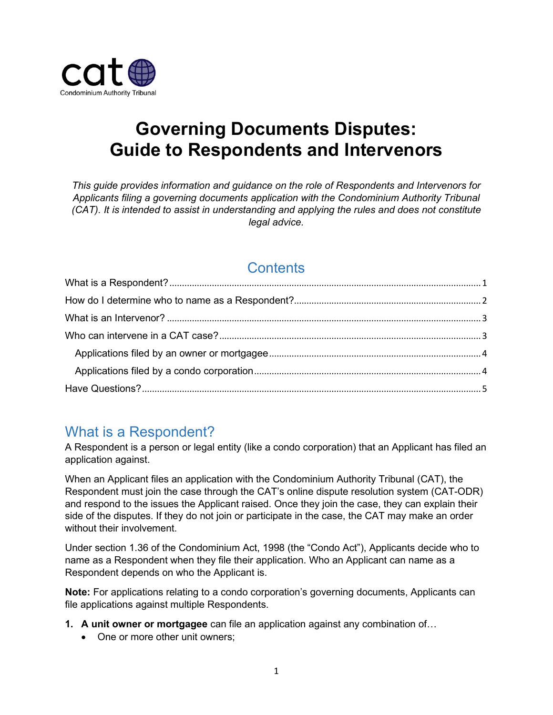

# **Governing Documents Disputes: Guide to Respondents and Intervenors**

*This guide provides information and guidance on the role of Respondents and Intervenors for Applicants filing a governing documents application with the Condominium Authority Tribunal (CAT). It is intended to assist in understanding and applying the rules and does not constitute legal advice.*

## **Contents**

# <span id="page-0-0"></span>What is a Respondent?

A Respondent is a person or legal entity (like a condo corporation) that an Applicant has filed an application against.

When an Applicant files an application with the Condominium Authority Tribunal (CAT), the Respondent must join the case through the CAT's online dispute resolution system (CAT-ODR) and respond to the issues the Applicant raised. Once they join the case, they can explain their side of the disputes. If they do not join or participate in the case, the CAT may make an order without their involvement.

Under section 1.36 of the Condominium Act, 1998 (the "Condo Act"), Applicants decide who to name as a Respondent when they file their application. Who an Applicant can name as a Respondent depends on who the Applicant is.

**Note:** For applications relating to a condo corporation's governing documents, Applicants can file applications against multiple Respondents.

- **1. A unit owner or mortgagee** can file an application against any combination of…
	- One or more other unit owners: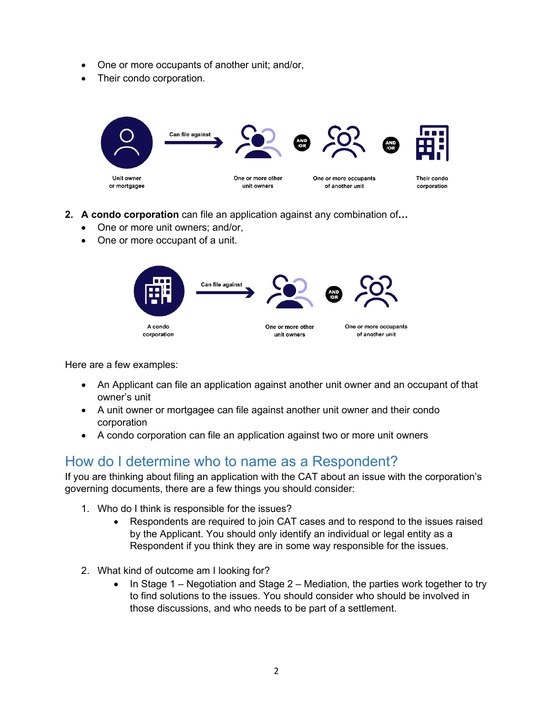- One or more occupants of another unit; and/or,
- Their condo corporation.



- **2. A condo corporation** can file an application against any combination of**…** 
	- One or more unit owners; and/or,
	- One or more occupant of a unit.



Here are a few examples:

- An Applicant can file an application against another unit owner and an occupant of that owner's unit
- A unit owner or mortgagee can file against another unit owner and their condo corporation
- A condo corporation can file an application against two or more unit owners

### <span id="page-1-0"></span>How do I determine who to name as a Respondent?

If you are thinking about filing an application with the CAT about an issue with the corporation's governing documents, there are a few things you should consider:

- 1. Who do I think is responsible for the issues?
	- Respondents are required to join CAT cases and to respond to the issues raised by the Applicant. You should only identify an individual or legal entity as a Respondent if you think they are in some way responsible for the issues.
- 2. What kind of outcome am I looking for?
	- In Stage 1 Negotiation and Stage  $2$  Mediation, the parties work together to try to find solutions to the issues. You should consider who should be involved in those discussions, and who needs to be part of a settlement.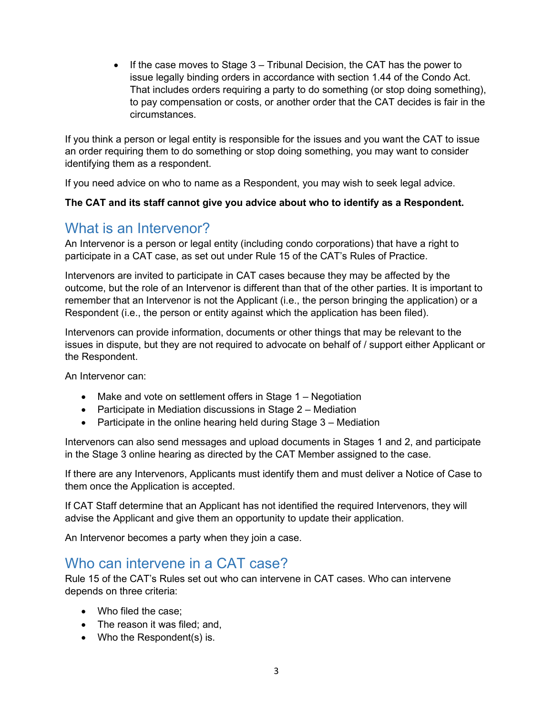• If the case moves to Stage 3 – Tribunal Decision, the CAT has the power to issue legally binding orders in accordance with section 1.44 of the Condo Act. That includes orders requiring a party to do something (or stop doing something), to pay compensation or costs, or another order that the CAT decides is fair in the circumstances.

If you think a person or legal entity is responsible for the issues and you want the CAT to issue an order requiring them to do something or stop doing something, you may want to consider identifying them as a respondent.

If you need advice on who to name as a Respondent, you may wish to seek legal advice.

#### **The CAT and its staff cannot give you advice about who to identify as a Respondent.**

### <span id="page-2-0"></span>What is an Intervenor?

An Intervenor is a person or legal entity (including condo corporations) that have a right to participate in a CAT case, as set out under Rule 15 of the CAT's Rules of Practice.

Intervenors are invited to participate in CAT cases because they may be affected by the outcome, but the role of an Intervenor is different than that of the other parties. It is important to remember that an Intervenor is not the Applicant (i.e., the person bringing the application) or a Respondent (i.e., the person or entity against which the application has been filed).

Intervenors can provide information, documents or other things that may be relevant to the issues in dispute, but they are not required to advocate on behalf of / support either Applicant or the Respondent.

An Intervenor can:

- Make and vote on settlement offers in Stage 1 Negotiation
- Participate in Mediation discussions in Stage 2 Mediation
- Participate in the online hearing held during Stage 3 Mediation

Intervenors can also send messages and upload documents in Stages 1 and 2, and participate in the Stage 3 online hearing as directed by the CAT Member assigned to the case.

If there are any Intervenors, Applicants must identify them and must deliver a Notice of Case to them once the Application is accepted.

If CAT Staff determine that an Applicant has not identified the required Intervenors, they will advise the Applicant and give them an opportunity to update their application.

An Intervenor becomes a party when they join a case.

#### <span id="page-2-1"></span>Who can intervene in a CAT case?

Rule 15 of the CAT's Rules set out who can intervene in CAT cases. Who can intervene depends on three criteria:

- Who filed the case;
- The reason it was filed; and,
- Who the Respondent(s) is.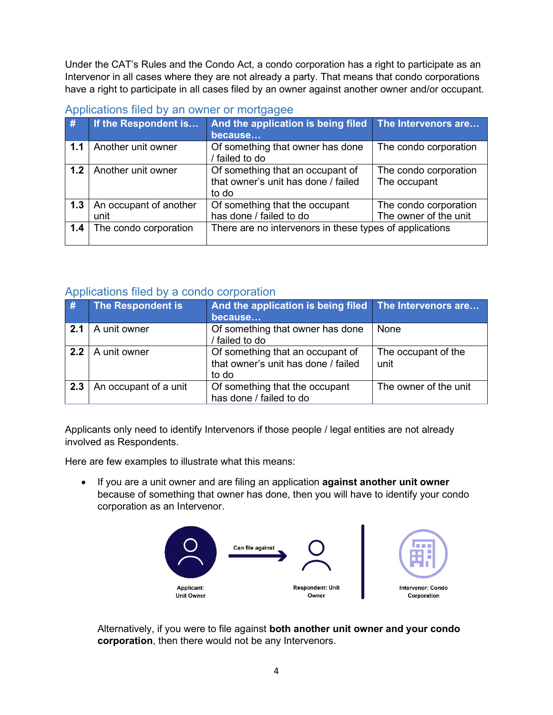Under the CAT's Rules and the Condo Act, a condo corporation has a right to participate as an Intervenor in all cases where they are not already a party. That means that condo corporations have a right to participate in all cases filed by an owner against another owner and/or occupant.

| #   | If the Respondent is   | And the application is being filed                      | The Intervenors are   |  |  |  |
|-----|------------------------|---------------------------------------------------------|-----------------------|--|--|--|
|     |                        | because                                                 |                       |  |  |  |
| 1.1 | Another unit owner     | Of something that owner has done                        | The condo corporation |  |  |  |
|     |                        | / failed to do                                          |                       |  |  |  |
| 1.2 | Another unit owner     | Of something that an occupant of                        | The condo corporation |  |  |  |
|     |                        | that owner's unit has done / failed                     | The occupant          |  |  |  |
|     |                        | to do                                                   |                       |  |  |  |
| 1.3 | An occupant of another | Of something that the occupant                          | The condo corporation |  |  |  |
|     | unit                   | has done / failed to do                                 | The owner of the unit |  |  |  |
| 1.4 | The condo corporation  | There are no intervenors in these types of applications |                       |  |  |  |
|     |                        |                                                         |                       |  |  |  |

#### <span id="page-3-0"></span>Applications filed by an owner or mortgagee

#### <span id="page-3-1"></span>Applications filed by a condo corporation

| #   | The Respondent is     | And the application is being filed The Intervenors are<br>because                |                             |
|-----|-----------------------|----------------------------------------------------------------------------------|-----------------------------|
| 2.1 | A unit owner          | Of something that owner has done<br>/ failed to do                               | None                        |
| 22  | A unit owner          | Of something that an occupant of<br>that owner's unit has done / failed<br>to do | The occupant of the<br>unit |
| 2.3 | An occupant of a unit | Of something that the occupant<br>has done / failed to do                        | The owner of the unit       |

Applicants only need to identify Intervenors if those people / legal entities are not already involved as Respondents.

Here are few examples to illustrate what this means:

• If you are a unit owner and are filing an application **against another unit owner**  because of something that owner has done, then you will have to identify your condo corporation as an Intervenor.



Alternatively, if you were to file against **both another unit owner and your condo corporation**, then there would not be any Intervenors.